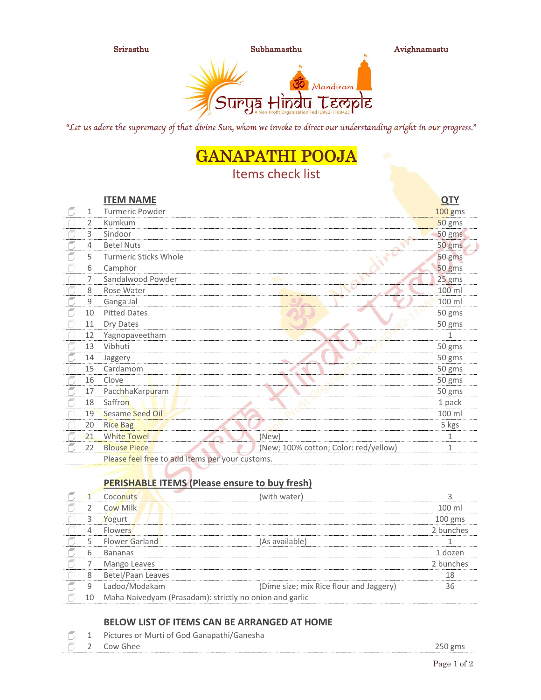

"Let us adore the supremacy of that divine Sun, whom we invoke to direct our understanding aright in our progress."

# GANAPATHI POOJA

## Items check list

|   |              | <b>ITEM NAME</b>                                |                                       | <b>QTY</b>   |
|---|--------------|-------------------------------------------------|---------------------------------------|--------------|
|   | $\mathbf{1}$ | <b>Turmeric Powder</b>                          |                                       | 100 gms      |
|   | 2            | Kumkum                                          |                                       | 50 gms       |
|   | 3            | Sindoor                                         |                                       | 50 gms       |
|   | 4            | <b>Betel Nuts</b>                               |                                       | 50 gms       |
|   | 5            | <b>Turmeric Sticks Whole</b>                    |                                       | 50 gms       |
| Ą | 6            | Camphor                                         |                                       | 50 gms       |
| f | 7            | Sandalwood Powder                               |                                       | 25 gms       |
|   | 8            | Rose Water                                      |                                       | 100 ml       |
|   | 9            | Ganga Jal                                       |                                       | 100 ml       |
|   | 10           | <b>Pitted Dates</b>                             |                                       | 50 gms       |
|   | 11           | Dry Dates                                       |                                       | 50 gms       |
| ſ | 12           | Yagnopaveetham                                  |                                       | 1            |
|   | 13           | Vibhuti                                         |                                       | 50 gms       |
| ı | 14           | Jaggery                                         |                                       | 50 gms       |
|   | 15           | Cardamom                                        |                                       | 50 gms       |
|   | 16           | Clove                                           |                                       | 50 gms       |
|   | 17           | PacchhaKarpuram                                 |                                       | 50 gms       |
|   | 18           | Saffron                                         |                                       | 1 pack       |
|   | 19           | <b>Sesame Seed Oil</b>                          |                                       | 100 ml       |
| ſ | 20           | <b>Rice Bag</b>                                 |                                       | 5 kgs        |
|   | 21           | <b>White Towel</b>                              | (New)                                 | 1            |
|   | 22           | <b>Blouse Piece</b>                             | (New; 100% cotton; Color: red/yellow) | $\mathbf{1}$ |
|   |              | Please feel free to add items per your customs. |                                       |              |

### **PERISHABLE ITEMS (Please ensure to buy fresh)**

|    | Coconuts                                                | (with water)                            |           |
|----|---------------------------------------------------------|-----------------------------------------|-----------|
|    | Cow Milk                                                |                                         | $100$ ml  |
|    | Yogurt                                                  |                                         | $100$ gms |
| 4  | <b>Flowers</b>                                          |                                         | 2 bunches |
|    | Flower Garland                                          | (As available)                          |           |
| 6  | <b>Bananas</b>                                          |                                         | 1 dozen   |
|    | Mango Leaves                                            |                                         | 2 bunches |
| 8  | Betel/Paan Leaves                                       |                                         | 18        |
|    | Ladoo/Modakam                                           | (Dime size; mix Rice flour and Jaggery) | 36        |
| 10 | Maha Naivedyam (Prasadam): strictly no onion and garlic |                                         |           |

#### **BELOW LIST OF ITEMS CAN BE ARRANGED AT HOME**

| - | N/LLIFT<br>דר<br>(701)<br>$\mathbf{1}$<br>11111 |         |
|---|-------------------------------------------------|---------|
|   | וור                                             | -<br>__ |